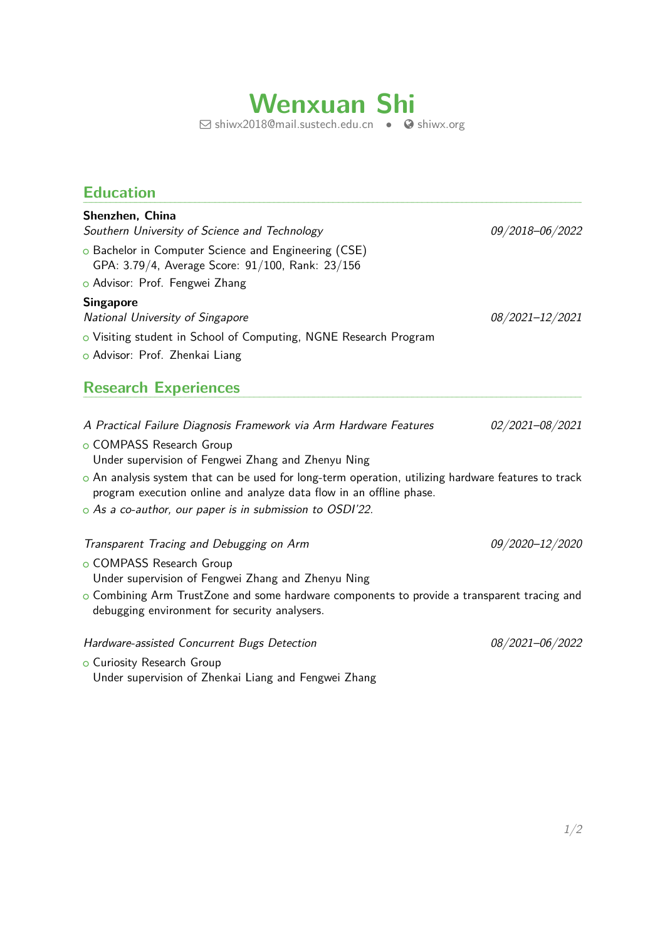**Wenxuan Shi** ! [shiwx2018@mail.sustech.edu.cn](mailto:shiwx2018@mail.sustech.edu.cn) *•* " [shiwx.org](http://shiwx.org)

| <b>Education</b>                                                                                                                                                                 |                 |
|----------------------------------------------------------------------------------------------------------------------------------------------------------------------------------|-----------------|
| Shenzhen, China<br>Southern University of Science and Technology                                                                                                                 | 09/2018-06/2022 |
| o Bachelor in Computer Science and Engineering (CSE)<br>GPA: 3.79/4, Average Score: 91/100, Rank: 23/156                                                                         |                 |
| o Advisor: Prof. Fengwei Zhang                                                                                                                                                   |                 |
| <b>Singapore</b>                                                                                                                                                                 |                 |
| National University of Singapore                                                                                                                                                 | 08/2021-12/2021 |
| O Visiting student in School of Computing, NGNE Research Program                                                                                                                 |                 |
| o Advisor: Prof. Zhenkai Liang                                                                                                                                                   |                 |
| <b>Research Experiences</b>                                                                                                                                                      |                 |
| A Practical Failure Diagnosis Framework via Arm Hardware Features                                                                                                                | 02/2021-08/2021 |
| o COMPASS Research Group                                                                                                                                                         |                 |
| Under supervision of Fengwei Zhang and Zhenyu Ning                                                                                                                               |                 |
| $\circ$ An analysis system that can be used for long-term operation, utilizing hardware features to track<br>program execution online and analyze data flow in an offline phase. |                 |
| o As a co-author, our paper is in submission to OSDI'22.                                                                                                                         |                 |
| Transparent Tracing and Debugging on Arm                                                                                                                                         | 09/2020-12/2020 |
| o COMPASS Research Group                                                                                                                                                         |                 |
| Under supervision of Fengwei Zhang and Zhenyu Ning                                                                                                                               |                 |
| o Combining Arm TrustZone and some hardware components to provide a transparent tracing and<br>debugging environment for security analysers.                                     |                 |
| Hardware-assisted Concurrent Bugs Detection                                                                                                                                      | 08/2021-06/2022 |
| o Curiosity Research Group                                                                                                                                                       |                 |
| Under supervision of Zhenkai Liang and Fengwei Zhang                                                                                                                             |                 |